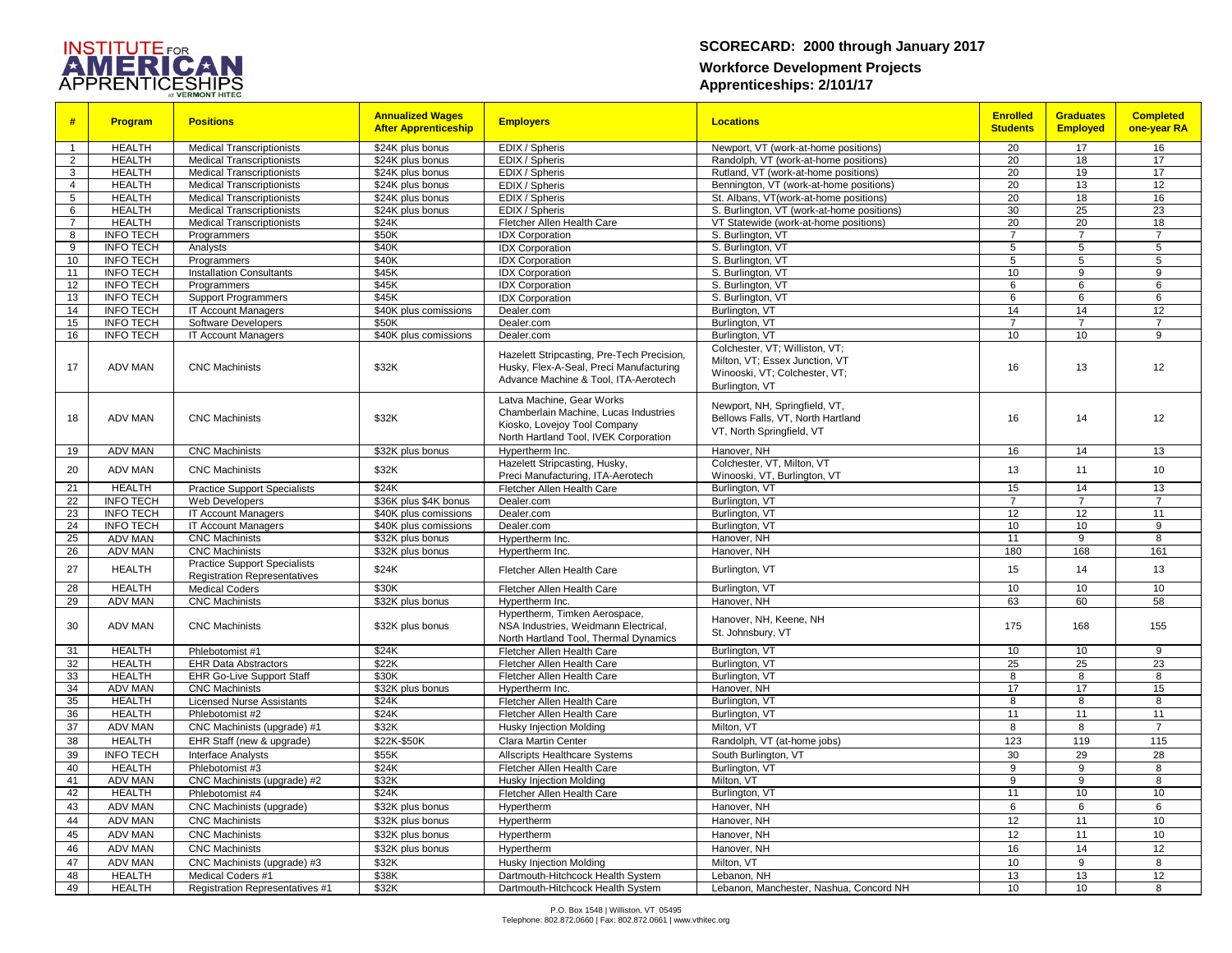

## **SCORECARD: 2000 through January 2017 Workforce Development Projects Apprenticeships: 2/101/17**

| #                       | <b>Program</b>                       | <b>Positions</b>                               | <b>Annualized Wages</b><br><b>After Apprenticeship</b> | <b>Employers</b>                                                      | <b>Locations</b>                           | <b>Enrolled</b><br><b>Students</b> | <b>Graduates</b><br><b>Employed</b> | <b>Completed</b><br>one-year RA |
|-------------------------|--------------------------------------|------------------------------------------------|--------------------------------------------------------|-----------------------------------------------------------------------|--------------------------------------------|------------------------------------|-------------------------------------|---------------------------------|
| $\overline{1}$          | <b>HEALTH</b>                        | <b>Medical Transcriptionists</b>               | \$24K plus bonus                                       | EDIX / Spheris                                                        | Newport, VT (work-at-home positions)       | 20                                 | 17                                  | 16                              |
| $\overline{2}$          | <b>HEALTH</b>                        | <b>Medical Transcriptionists</b>               | \$24K plus bonus                                       | EDIX / Spheris                                                        | Randolph, VT (work-at-home positions)      | 20                                 | 18                                  | 17                              |
| 3                       | <b>HEALTH</b>                        | <b>Medical Transcriptionists</b>               | \$24K plus bonus                                       | EDIX / Spheris                                                        | Rutland, VT (work-at-home positions)       | 20                                 | 19                                  | 17                              |
| $\overline{4}$          | <b>HEALTH</b>                        | <b>Medical Transcriptionists</b>               | \$24K plus bonus                                       | EDIX / Spheris                                                        | Bennington, VT (work-at-home positions)    | 20                                 | 13                                  | 12                              |
| 5                       | <b>HEALTH</b>                        | <b>Medical Transcriptionists</b>               | \$24K plus bonus                                       | EDIX / Spheris                                                        | St. Albans, VT(work-at-home positions)     | 20                                 | 18                                  | 16                              |
| 6                       | <b>HEALTH</b>                        | <b>Medical Transcriptionists</b>               | \$24K plus bonus                                       | EDIX / Spheris                                                        | S. Burlington, VT (work-at-home positions) | 30                                 | 25                                  | 23                              |
| $\overline{7}$          | <b>HEALTH</b>                        | <b>Medical Transcriptionists</b>               | \$24K                                                  | Fletcher Allen Health Care                                            | VT Statewide (work-at-home positions)      | 20                                 | $\overline{20}$                     | 18                              |
| $\overline{\mathbf{8}}$ | <b>INFO TECH</b>                     | Programmers                                    | \$50K                                                  | <b>IDX Corporation</b>                                                | S. Burlington, VT                          | $\overline{7}$                     | $\overline{7}$                      | $\overline{7}$                  |
| 9                       | <b>INFO TECH</b>                     | Analysts                                       | \$40K                                                  | <b>IDX Corporation</b>                                                | S. Burlington, VT                          | 5                                  | 5                                   | $5\phantom{.0}$                 |
| 10                      | <b>INFO TECH</b>                     | Programmers                                    | \$40K                                                  | <b>IDX</b> Corporation                                                | S. Burlington, VT                          | 5                                  | 5                                   | 5                               |
| 11<br>12                | <b>INFO TECH</b><br><b>INFO TECH</b> | <b>Installation Consultants</b><br>Programmers | \$45K<br>\$45K                                         | <b>IDX Corporation</b><br><b>IDX Corporation</b>                      | S. Burlington, VT<br>S. Burlington, VT     | 10<br>6                            | 9<br>6                              | 9<br>6                          |
| 13                      | <b>INFO TECH</b>                     | <b>Support Programmers</b>                     | \$45K                                                  | <b>IDX Corporation</b>                                                | S. Burlington, VT                          | 6                                  | 6                                   | 6                               |
| 14                      | <b>INFO TECH</b>                     | <b>IT Account Managers</b>                     | \$40K plus comissions                                  | Dealer.com                                                            | Burlington, VT                             | 14                                 | 14                                  | 12                              |
| 15                      | <b>INFO TECH</b>                     | <b>Software Developers</b>                     | \$50K                                                  | Dealer.com                                                            | Burlington, VT                             | $\overline{7}$                     | $\overline{7}$                      | $\overline{7}$                  |
| 16                      | <b>INFO TECH</b>                     | <b>IT Account Managers</b>                     | \$40K plus comissions                                  | Dealer.com                                                            | Burlington, VT                             | 10                                 | 10                                  | 9                               |
|                         |                                      |                                                |                                                        |                                                                       | Colchester, VT; Williston, VT;             |                                    |                                     |                                 |
|                         |                                      |                                                |                                                        | Hazelett Stripcasting, Pre-Tech Precision,                            | Milton, VT; Essex Junction, VT             |                                    |                                     |                                 |
| 17                      | <b>ADV MAN</b>                       | <b>CNC Machinists</b>                          | \$32K                                                  | Husky, Flex-A-Seal, Preci Manufacturing                               | Winooski, VT; Colchester, VT;              | 16                                 | 13                                  | 12                              |
|                         |                                      |                                                |                                                        | Advance Machine & Tool, ITA-Aerotech                                  | Burlington, VT                             |                                    |                                     |                                 |
|                         |                                      |                                                |                                                        | Latva Machine, Gear Works                                             |                                            |                                    |                                     |                                 |
|                         |                                      |                                                |                                                        | Chamberlain Machine, Lucas Industries                                 | Newport, NH, Springfield, VT,              |                                    |                                     |                                 |
| 18                      | <b>ADV MAN</b>                       | <b>CNC Machinists</b>                          | \$32K                                                  | Kiosko, Lovejoy Tool Company                                          | Bellows Falls, VT, North Hartland          | 16                                 | 14                                  | 12                              |
|                         |                                      |                                                |                                                        | North Hartland Tool, IVEK Corporation                                 | VT, North Springfield, VT                  |                                    |                                     |                                 |
| 19                      | <b>ADV MAN</b>                       | <b>CNC Machinists</b>                          | \$32K plus bonus                                       | Hypertherm Inc.                                                       | Hanover, NH                                | 16                                 | 14                                  | 13                              |
|                         |                                      |                                                |                                                        | Hazelett Stripcasting, Husky,                                         | Colchester, VT, Milton, VT                 |                                    |                                     |                                 |
| 20                      | <b>ADV MAN</b>                       | <b>CNC Machinists</b>                          | \$32K                                                  | Preci Manufacturing, ITA-Aerotech                                     | Winooski, VT, Burlington, VT               | 13                                 | 11                                  | 10                              |
| 21                      | <b>HEALTH</b>                        | <b>Practice Support Specialists</b>            | \$24K                                                  | Fletcher Allen Health Care                                            | Burlington, VT                             | 15                                 | 14                                  | 13                              |
| $\overline{22}$         | <b>INFO TECH</b>                     | Web Developers                                 | \$36K plus \$4K bonus                                  | Dealer.com                                                            | Burlington, VT                             | $\overline{7}$                     | $\overline{7}$                      | $\overline{7}$                  |
| 23                      | <b>INFO TECH</b>                     | <b>IT Account Managers</b>                     | \$40K plus comissions                                  | Dealer.com                                                            | Burlington, VT                             | 12                                 | 12                                  | 11                              |
| 24                      | <b>INFO TECH</b>                     | <b>IT Account Managers</b>                     | \$40K plus comissions                                  | Dealer.com                                                            | Burlington, VT                             | 10                                 | 10                                  | 9                               |
| 25                      | <b>ADV MAN</b>                       | <b>CNC Machinists</b>                          | \$32K plus bonus                                       | Hypertherm Inc.                                                       | Hanover, NH                                | 11                                 | 9                                   | 8                               |
| 26                      | <b>ADV MAN</b>                       | <b>CNC Machinists</b>                          | \$32K plus bonus                                       | Hypertherm Inc.                                                       | Hanover, NH                                | 180                                | 168                                 | 161                             |
| 27                      | <b>HEALTH</b>                        | <b>Practice Support Specialists</b>            | \$24K                                                  | Fletcher Allen Health Care                                            | Burlington, VT                             | 15                                 | 14                                  | 13                              |
|                         |                                      | <b>Registration Representatives</b>            | \$30K                                                  |                                                                       |                                            | 10                                 | 10                                  |                                 |
| 28<br>29                | <b>HEALTH</b>                        | <b>Medical Coders</b><br><b>CNC Machinists</b> |                                                        | Fletcher Allen Health Care                                            | Burlington, VT<br>Hanover, NH              | 63                                 | 60                                  | 10<br>58                        |
|                         | <b>ADV MAN</b>                       |                                                | \$32K plus bonus                                       | Hypertherm Inc.                                                       |                                            |                                    |                                     |                                 |
| 30                      | <b>ADV MAN</b>                       | <b>CNC Machinists</b>                          | \$32K plus bonus                                       | Hypertherm, Timken Aerospace,<br>NSA Industries, Weidmann Electrical, | Hanover, NH, Keene, NH                     | 175                                | 168                                 | 155                             |
|                         |                                      |                                                |                                                        | North Hartland Tool, Thermal Dynamics                                 | St. Johnsbury, VT                          |                                    |                                     |                                 |
| 31                      | <b>HEALTH</b>                        | Phlebotomist #1                                | \$24K                                                  | Fletcher Allen Health Care                                            | Burlington, VT                             | 10                                 | 10                                  | 9                               |
| 32                      | <b>HEALTH</b>                        | <b>EHR Data Abstractors</b>                    | \$22K                                                  | Fletcher Allen Health Care                                            | Burlington, VT                             | 25                                 | 25                                  | 23                              |
| 33                      | <b>HEALTH</b>                        | <b>EHR Go-Live Support Staff</b>               | \$30K                                                  | Fletcher Allen Health Care                                            | Burlington, VT                             | 8                                  | 8                                   | 8                               |
| 34                      | <b>ADV MAN</b>                       | <b>CNC Machinists</b>                          | \$32K plus bonus                                       | Hypertherm Inc.                                                       | Hanover, NH                                | 17                                 | 17                                  | 15                              |
| 35                      | <b>HEALTH</b>                        | <b>Licensed Nurse Assistants</b>               | \$24K                                                  | Fletcher Allen Health Care                                            | Burlington, VT                             | 8                                  | 8                                   | 8                               |
| 36                      | <b>HEALTH</b>                        | Phlebotomist #2                                | \$24K                                                  | Fletcher Allen Health Care                                            | Burlington, VT                             | 11                                 | 11                                  | 11                              |
| 37                      | <b>ADV MAN</b>                       | CNC Machinists (upgrade) #1                    | \$32K                                                  | Husky Injection Molding                                               | Milton, VT                                 | 8                                  | 8                                   | $\overline{7}$                  |
| 38                      | <b>HEALTH</b>                        | EHR Staff (new & upgrade)                      | \$22K-\$50K                                            | Clara Martin Center                                                   | Randolph, VT (at-home jobs)                | 123                                | 119                                 | $\frac{115}{115}$               |
| 39                      | <b>INFO TECH</b>                     | Interface Analysts                             | \$55K                                                  | <b>Allscripts Healthcare Systems</b>                                  | South Burlington, VT                       | 30                                 | 29                                  | 28                              |
| 40                      | <b>HEALTH</b>                        | Phlebotomist #3                                | \$24K                                                  | Fletcher Allen Health Care                                            | Burlington, VT                             | 9                                  | $\overline{9}$                      | 8                               |
| 41                      | <b>ADV MAN</b>                       | CNC Machinists (upgrade) #2                    | \$32K                                                  | <b>Husky Injection Molding</b>                                        | Milton, VT                                 | 9                                  | 9                                   | 8                               |
| 42                      | <b>HEALTH</b>                        | Phlebotomist #4                                | \$24K                                                  | Fletcher Allen Health Care                                            | Burlington, VT                             | 11                                 | 10                                  | 10                              |
| 43                      | <b>ADV MAN</b>                       | CNC Machinists (upgrade)                       | \$32K plus bonus                                       | Hypertherm                                                            | Hanover, NH                                | 6                                  | 6                                   | 6                               |
| 44                      | <b>ADV MAN</b>                       | <b>CNC Machinists</b>                          | \$32K plus bonus                                       | Hypertherm                                                            | Hanover, NH                                | 12                                 | 11                                  | 10                              |
| 45                      | <b>ADV MAN</b>                       | <b>CNC Machinists</b>                          | \$32K plus bonus                                       | Hypertherm                                                            | Hanover, NH                                | 12                                 | 11                                  | 10                              |
| 46                      | <b>ADV MAN</b>                       | <b>CNC Machinists</b>                          | \$32K plus bonus                                       | Hypertherm                                                            | Hanover, NH                                | 16                                 | 14                                  | 12                              |
| 47                      | ADV MAN                              | CNC Machinists (upgrade) #3                    | \$32K                                                  | <b>Husky Injection Molding</b>                                        | Milton, VT                                 | 10                                 | 9                                   | 8                               |
| 48                      | <b>HEALTH</b>                        | Medical Coders #1                              | \$38K                                                  | Dartmouth-Hitchcock Health System                                     | Lebanon, NH                                | 13                                 | 13                                  | 12                              |
| 49                      | <b>HEALTH</b>                        | Registration Representatives #1                | \$32K                                                  | Dartmouth-Hitchcock Health System                                     | Lebanon, Manchester, Nashua, Concord NH    | 10                                 | 10                                  | 8                               |
|                         |                                      |                                                |                                                        |                                                                       |                                            |                                    |                                     |                                 |